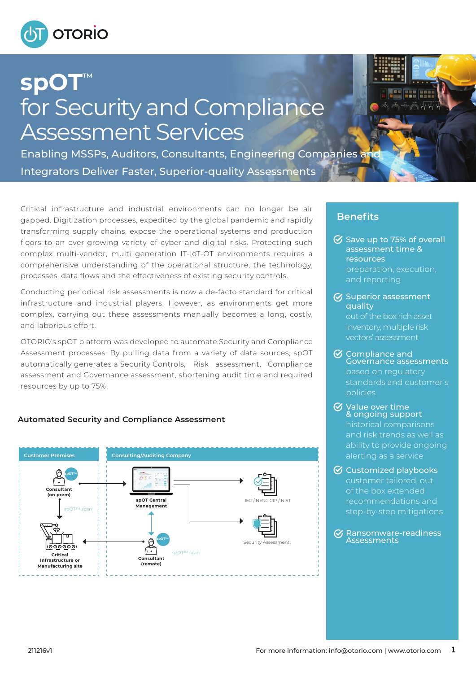

# spOT for Security and Compliance Assessment Services

Enabling MSSPs, Auditors, Consultants, Engineering Companies ar Integrators Deliver Faster, Superior-quality Assessments

Critical infrastructure and industrial environments can no longer be air gapped. Digitization processes, expedited by the global pandemic and rapidly transforming supply chains, expose the operational systems and production floors to an ever-growing variety of cyber and digital risks. Protecting such complex multi-vendor, multi generation IT-IoT-OT environments requires a comprehensive understanding of the operational structure, the technology, processes, data flows and the effectiveness of existing security controls.

Conducting periodical risk assessments is now a de-facto standard for critical infrastructure and industrial players. However, as environments get more complex, carrying out these assessments manually becomes a long, costly, and laborious effort.

OTORIO's spOT platform was developed to automate Security and Compliance Assessment processes. By pulling data from a variety of data sources, spOT automatically generates a Security Controls, Risk assessment, Compliance assessment and Governance assessment, shortening audit time and required resources by up to 75%.

# **Automated Security and Compliance Assessment**



# **Benefits**

 $\heartsuit$  Save up to 75% of overall assessment time & resources preparation, execution, and reporting

**28 929** 

- $\overline{\mathcal{G}}$  Superior assessment quality out of the box rich asset inventory, multiple risk vectors' assessment
- Compliance and Governance assessments based on regulatory standards and customer's policies
- Value over time & ongoing support historical comparisons and risk trends as well as ability to provide ongoing alerting as a service
- $\Theta$  Customized playbooks customer tailored, out of the box extended recommendations and step-by-step mitigations
- $\mathcal G$  Ransomware-readiness **Assessments**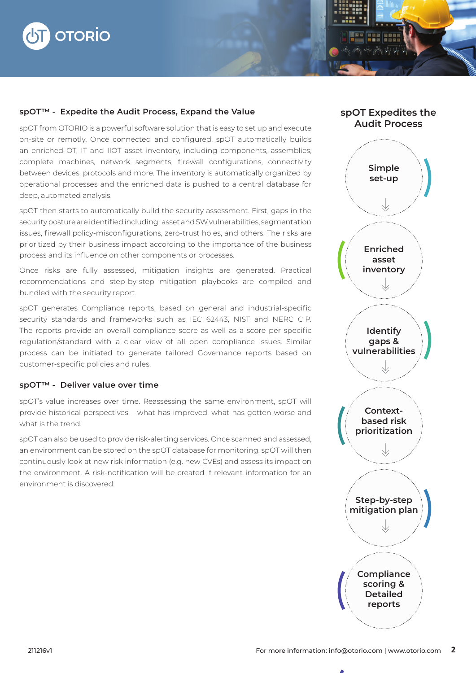

### spOT<sup>™</sup> - Expedite the Audit Process, Expand the Value

spOT from OTORIO is a powerful software solution that is easy to set up and execute on-site or remotly. Once connected and configured, spOT automatically builds an enriched OT, IT and IIOT asset inventory, including components, assemblies, complete machines, network segments, firewall configurations, connectivity between devices, protocols and more. The inventory is automatically organized by operational processes and the enriched data is pushed to a central database for deep, automated analysis.

spOT then starts to automatically build the security assessment. First, gaps in the security posture are identified including: asset and SW vulnerabilities, segmentation issues, firewall policy-misconfigurations, zero-trust holes, and others. The risks are prioritized by their business impact according to the importance of the business process and its influence on other components or processes.

Once risks are fully assessed, mitigation insights are generated. Practical recommendations and step-by-step mitigation playbooks are compiled and bundled with the security report.

spOT generates Compliance reports, based on general and industrial-specific security standards and frameworks such as IEC 62443, NIST and NERC CIP. The reports provide an overall compliance score as well as a score per specific regulation/standard with a clear view of all open compliance issues. Similar process can be initiated to generate tailored Governance reports based on customer-specific policies and rules.

#### spOT<sup>™</sup> - Deliver value over time

spOT's value increases over time. Reassessing the same environment, spOT will provide historical perspectives – what has improved, what has gotten worse and what is the trend.

spOT can also be used to provide risk-alerting services. Once scanned and assessed, an environment can be stored on the spOT database for monitoring. spOT will then continuously look at new risk information (e.g. new CVEs) and assess its impact on the environment. A risk-notification will be created if relevant information for an environment is discovered.



spOT Expedites the

Hee Rees